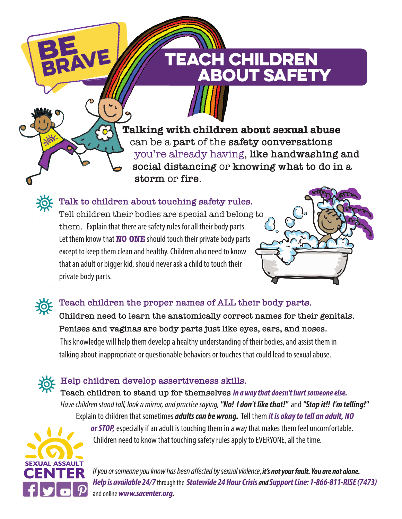**Talking with children about sexual abuse** can be a **part** of the **safety conversations** you're already having, **like handwashing and social distancing** or **knowing what to do in a storm** or **fire**.

TEACH CHILDREN

**ABOUT SAFET** 



**Talk to children about touching safety rules.**

 $\overline{\mathbf{C}}$ 

Tell children their bodies are special and belong to them. Explain that there are safety rules for all their body parts. Let them know that **NO ONE** should touch their private body parts except to keep them clean and healthy. Children also need to know that an adult or bigger kid, should never ask a child to touch their private body parts.





## **Teach children the proper names of ALL their body parts.**

**Children need to learn the anatomically correct names for their genitals. Penises and vaginas are body parts just like eyes, ears, and noses.** This knowledge will help them develop a healthy understanding of their bodies, and assist them in talking about inappropriate or questionable behaviors or touches that could lead to sexual abuse.

**Help children develop assertiveness skills.**

**Teach children to stand up for themselves in a way that doesn't hurt someone else.**  Have children stand tall, look a mirror, and practice saying,**"No! I don't like that!"** and **"Stop it!! I'm telling!"** Explain to children that sometimes **adults can be wrong.** Tell them **it is okay to tell an adult, NO** 



**or STOP,**especially if an adult is touching them in a way that makes them feel uncomfortable. Children need to know that touching safety rules apply to EVERYONE, all the time.

If you or someone you know has been affected by sexual violence, **it's not your fault. You are not alone. Help is available 24/7**through the **Statewide 24 Hour Crisis and Support Line: 1-866-811-RISE (7473)** and online **[www.sacenter.org.](https://www.sacenter.org/)**